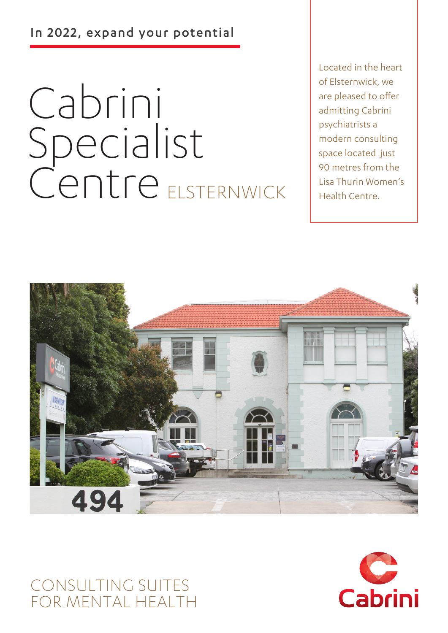In 2022, expand your potential

# Cabrini Specialist Centre ELSTERNWICK

Located in the heart of Elsternwick, we are pleased to offer admitting Cabrini psychiatrists a modern consulting space located just 90 metres from the Lisa Thurin Women's Health Centre.



# CONSULTING SUITES FOR MENTAL HEALTH